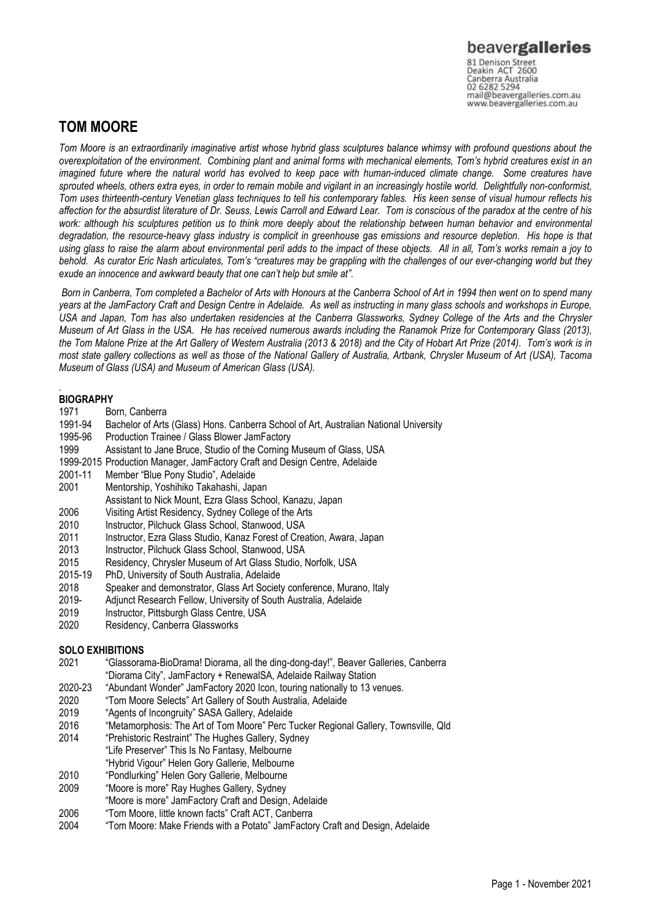Canberra Australia mail@beavergalleries.com.au www.beavergalleries.com.au

# **TOM MOORE**

*Tom Moore is an extraordinarily imaginative artist whose hybrid glass sculptures balance whimsy with profound questions about the overexploitation of the environment. Combining plant and animal forms with mechanical elements, Tom's hybrid creatures exist in an imagined future where the natural world has evolved to keep pace with human-induced climate change. Some creatures have sprouted wheels, others extra eyes, in order to remain mobile and vigilant in an increasingly hostile world. Delightfully non-conformist, Tom uses thirteenth-century Venetian glass techniques to tell his contemporary fables. His keen sense of visual humour reflects his affection for the absurdist literature of Dr. Seuss, Lewis Carroll and Edward Lear. Tom is conscious of the paradox at the centre of his work: although his sculptures petition us to think more deeply about the relationship between human behavior and environmental degradation, the resource-heavy glass industry is complicit in greenhouse gas emissions and resource depletion. His hope is that using glass to raise the alarm about environmental peril adds to the impact of these objects. All in all, Tom's works remain a joy to behold. As curator Eric Nash articulates, Tom's "creatures may be grappling with the challenges of our ever-changing world but they exude an innocence and awkward beauty that one can't help but smile at".*

*Born in Canberra, Tom completed a Bachelor of Arts with Honours at the Canberra School of Art in 1994 then went on to spend many years at the JamFactory Craft and Design Centre in Adelaide. As well as instructing in many glass schools and workshops in Europe, USA and Japan, Tom has also undertaken residencies at the Canberra Glassworks, Sydney College of the Arts and the Chrysler Museum of Art Glass in the USA. He has received numerous awards including the Ranamok Prize for Contemporary Glass (2013), the Tom Malone Prize at the Art Gallery of Western Australia (2013 & 2018) and the City of Hobart Art Prize (2014). Tom's work is in most state gallery collections as well as those of the National Gallery of Australia, Artbank, Chrysler Museum of Art (USA), Tacoma Museum of Glass (USA) and Museum of American Glass (USA).*

## *.* **BIOGRAPHY**<br>1971 Be

- Born, Canberra
- 1991-94 Bachelor of Arts (Glass) Hons. Canberra School of Art, Australian National University<br>1995-96 Production Trainee / Glass Blower JamFactory
- 1995-96 Production Trainee / Glass Blower JamFactory<br>1999 Assistant to Jane Bruce. Studio of the Corning
- Assistant to Jane Bruce, Studio of the Corning Museum of Glass, USA
- 1999-2015 Production Manager, JamFactory Craft and Design Centre, Adelaide
- 2001-11 Member "Blue Pony Studio", Adelaide
- 2001 Mentorship, Yoshihiko Takahashi, Japan
- Assistant to Nick Mount, Ezra Glass School, Kanazu, Japan
- 2006 Visiting Artist Residency, Sydney College of the Arts<br>2010 Instructor, Pilchuck Glass School, Stanwood, USA
- Instructor, Pilchuck Glass School, Stanwood, USA
- 2011 Instructor, Ezra Glass Studio, Kanaz Forest of Creation, Awara, Japan
- 2013 Instructor, Pilchuck Glass School, Stanwood, USA
- 2015 Residency, Chrysler Museum of Art Glass Studio, Norfolk, USA
- 2015-19 PhD, University of South Australia, Adelaide
- 2018 Speaker and demonstrator, Glass Art Society conference, Murano, Italy
- 2019- Adjunct Research Fellow, University of South Australia, Adelaide
- 2019 Instructor, Pittsburgh Glass Centre, USA
- 2020 Residency, Canberra Glassworks

### **SOLO EXHIBITIONS**

- 2021 "Glassorama-BioDrama! Diorama, all the ding-dong-day!", Beaver Galleries, Canberra "Diorama City", JamFactory + RenewalSA, Adelaide Railway Station
- 2020-23 "Abundant Wonder" JamFactory 2020 Icon, touring nationally to 13 venues.<br>2020 Tom Moore Selects" Art Gallery of South Australia, Adelaide
- 2020 "Tom Moore Selects" Art Gallery of South Australia, Adelaide
- "Agents of Incongruity" SASA Gallery, Adelaide
- 2016 "Metamorphosis: The Art of Tom Moore" Perc Tucker Regional Gallery, Townsville, Qld
- 2014 "Prehistoric Restraint" The Hughes Gallery, Sydney
- "Life Preserver" This Is No Fantasy, Melbourne
- "Hybrid Vigour" Helen Gory Gallerie, Melbourne
- 2010 "Pondlurking" Helen Gory Gallerie, Melbourne
- 2009 "Moore is more" Ray Hughes Gallery, Sydney
- "Moore is more" JamFactory Craft and Design, Adelaide
- 2006 "Tom Moore, little known facts" Craft ACT, Canberra
- 2004 "Tom Moore: Make Friends with a Potato" JamFactory Craft and Design, Adelaide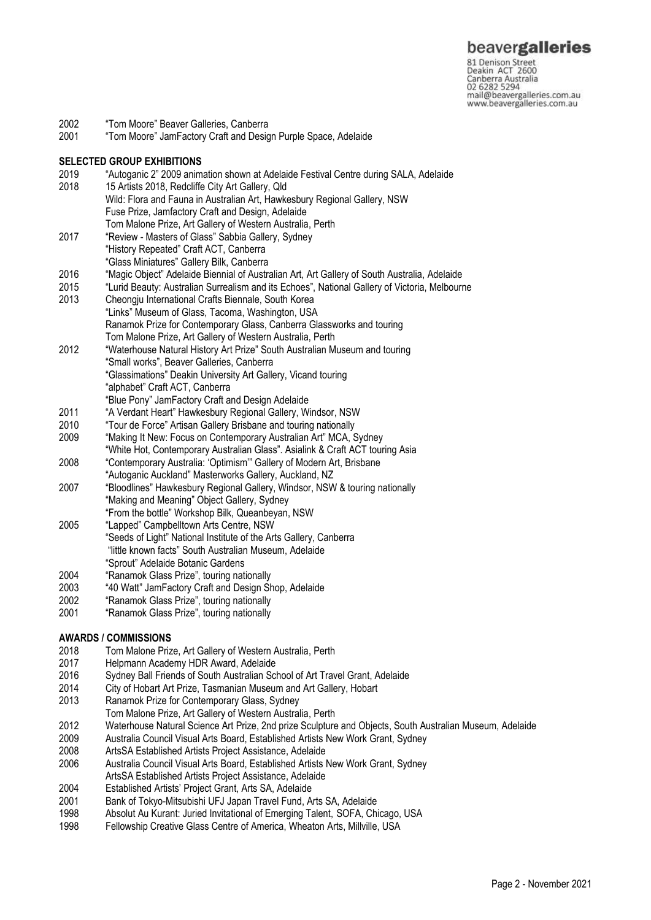81 Denison Street<br>Deakin ACT 2600 Canberra Australia mail@beavergalleries.com.au www.beavergalleries.com.au

- 2002 "Tom Moore" Beaver Galleries, Canberra<br>2001 "Tom Moore" JamFactory Craft and Desig
- "Tom Moore" JamFactory Craft and Design Purple Space, Adelaide

#### **SELECTED GROUP EXHIBITIONS**

- 2019 "Autoganic 2" 2009 animation shown at Adelaide Festival Centre during SALA, Adelaide 2018 15 Artists 2018, Redcliffe City Art Gallery, Qld Wild: Flora and Fauna in Australian Art, Hawkesbury Regional Gallery, NSW Fuse Prize, Jamfactory Craft and Design, Adelaide Tom Malone Prize, Art Gallery of Western Australia, Perth 2017 "Review - Masters of Glass" Sabbia Gallery, Sydney "History Repeated" Craft ACT, Canberra "Glass Miniatures" Gallery Bilk, Canberra 2016 "Magic Object" Adelaide Biennial of Australian Art, Art Gallery of South Australia, Adelaide 2015 "Lurid Beauty: Australian Surrealism and its Echoes", National Gallery of Victoria, Melbourne<br>2013 – Cheongiu International Crafts Biennale, South Korea Cheongju International Crafts Biennale, South Korea "Links" Museum of Glass, Tacoma, Washington, USA Ranamok Prize for Contemporary Glass, Canberra Glassworks and touring Tom Malone Prize, Art Gallery of Western Australia, Perth 2012 "Waterhouse Natural History Art Prize" South Australian Museum and touring "Small works", Beaver Galleries, Canberra "Glassimations" Deakin University Art Gallery, Vicand touring "alphabet" Craft ACT, Canberra "Blue Pony" JamFactory Craft and Design Adelaide 2011 "A Verdant Heart" Hawkesbury Regional Gallery, Windsor, NSW "Tour de Force" Artisan Gallery Brisbane and touring nationally 2009 "Making It New: Focus on Contemporary Australian Art" MCA, Sydney "White Hot, Contemporary Australian Glass". Asialink & Craft ACT touring Asia
- 2008 "Contemporary Australia: 'Optimism'" Gallery of Modern Art, Brisbane
- "Autoganic Auckland" Masterworks Gallery, Auckland, NZ
- 2007 "Bloodlines" Hawkesbury Regional Gallery, Windsor, NSW & touring nationally "Making and Meaning" Object Gallery, Sydney "From the bottle" Workshop Bilk, Queanbeyan, NSW
- 2005 "Lapped" Campbelltown Arts Centre, NSW "Seeds of Light" National Institute of the Arts Gallery, Canberra "little known facts" South Australian Museum, Adelaide "Sprout" Adelaide Botanic Gardens
- 2004 "Ranamok Glass Prize", touring nationally
- 2003 "40 Watt" JamFactory Craft and Design Shop, Adelaide
- 2002 "Ranamok Glass Prize", touring nationally
- 2001 "Ranamok Glass Prize", touring nationally

#### **AWARDS / COMMISSIONS**

- 2018 Tom Malone Prize, Art Gallery of Western Australia, Perth
- 2017 Helpmann Academy HDR Award, Adelaide
- 2016 Sydney Ball Friends of South Australian School of Art Travel Grant, Adelaide<br>2014 City of Hobart Art Prize, Tasmanian Museum and Art Gallery, Hobart
- 2014 City of Hobart Art Prize, Tasmanian Museum and Art Gallery, Hobart 2013 Ranamok Prize for Contemporary Glass, Sydney
- Ranamok Prize for Contemporary Glass, Sydney
- Tom Malone Prize, Art Gallery of Western Australia, Perth
- 2012 Waterhouse Natural Science Art Prize, 2nd prize Sculpture and Objects, South Australian Museum, Adelaide
- 2009 Australia Council Visual Arts Board, Established Artists New Work Grant, Sydney
- 2008 ArtsSA Established Artists Project Assistance, Adelaide
- 2006 Australia Council Visual Arts Board, Established Artists New Work Grant, Sydney
- ArtsSA Established Artists Project Assistance, Adelaide 2004 Established Artists' Project Grant, Arts SA, Adelaide
- 
- 2001 Bank of Tokyo-Mitsubishi UFJ Japan Travel Fund, Arts SA, Adelaide
- 1998 Absolut Au Kurant: Juried Invitational of Emerging Talent, SOFA, Chicago, USA
- 1998 Fellowship Creative Glass Centre of America, Wheaton Arts, Millville, USA